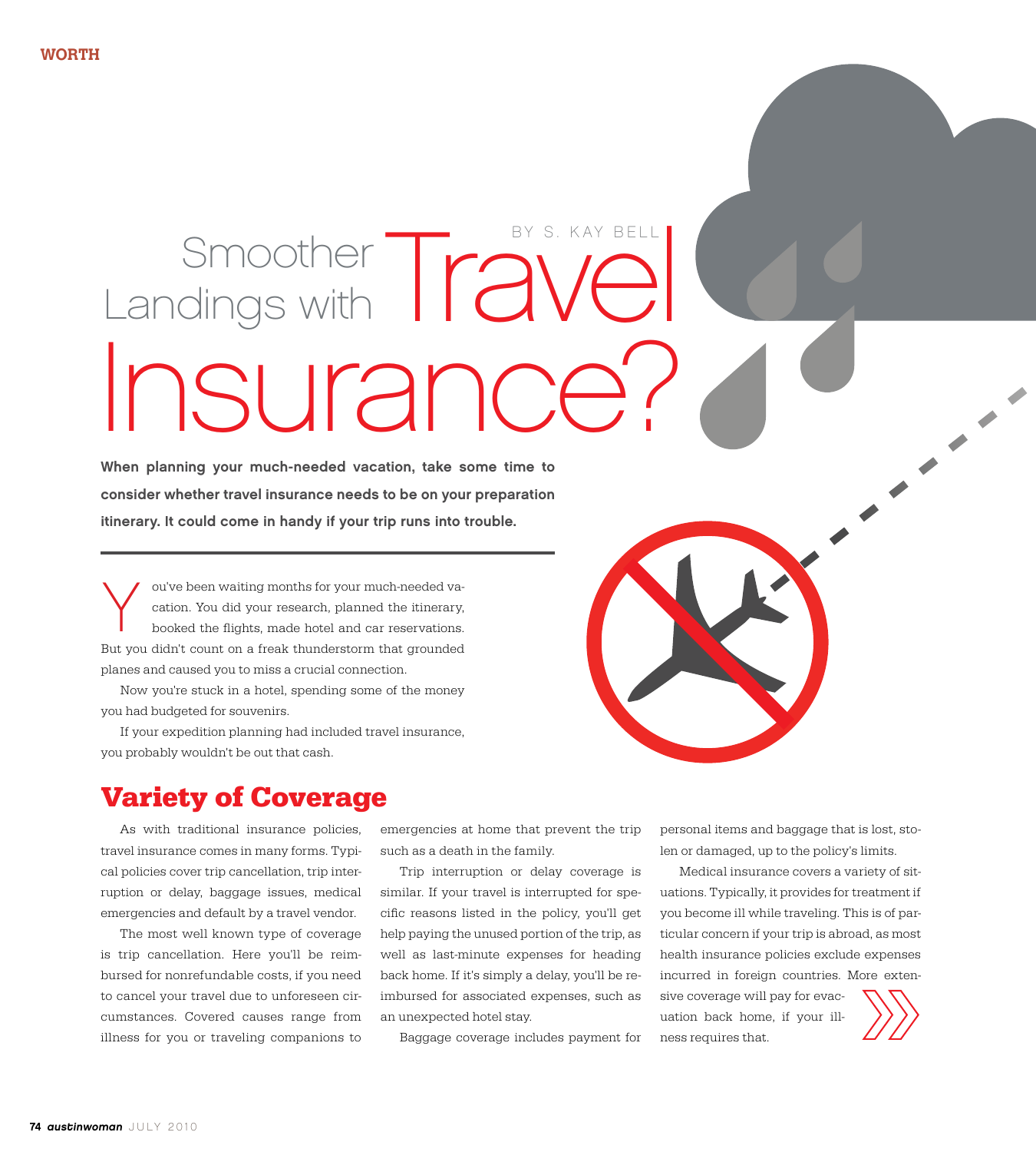## Smoother TraVel Insurance? Landings with BY S. KAY BEI

When planning your much-needed vacation, take some time to consider whether travel insurance needs to be on your preparation itinerary. It could come in handy if your trip runs into trouble.

ou've been waiting months for your much-needed vacation. You did your research, planned the itinerary, booked the flights, made hotel and car reservations. But you didn't count on a freak thunderstorm that grounded planes and caused you to miss a crucial connection. Y

Now you're stuck in a hotel, spending some of the money you had budgeted for souvenirs.

If your expedition planning had included travel insurance, you probably wouldn't be out that cash.

### **Variety of Coverage**

As with traditional insurance policies, travel insurance comes in many forms. Typical policies cover trip cancellation, trip interruption or delay, baggage issues, medical emergencies and default by a travel vendor.

The most well known type of coverage is trip cancellation. Here you'll be reimbursed for nonrefundable costs, if you need to cancel your travel due to unforeseen circumstances. Covered causes range from illness for you or traveling companions to emergencies at home that prevent the trip such as a death in the family.

Trip interruption or delay coverage is similar. If your travel is interrupted for specific reasons listed in the policy, you'll get help paying the unused portion of the trip, as well as last-minute expenses for heading back home. If it's simply a delay, you'll be reimbursed for associated expenses, such as an unexpected hotel stay.

Baggage coverage includes payment for

personal items and baggage that is lost, stolen or damaged, up to the policy's limits.

Medical insurance covers a variety of situations. Typically, it provides for treatment if you become ill while traveling. This is of particular concern if your trip is abroad, as most health insurance policies exclude expenses incurred in foreign countries. More exten-

sive coverage will pay for evacuation back home, if your illness requires that.

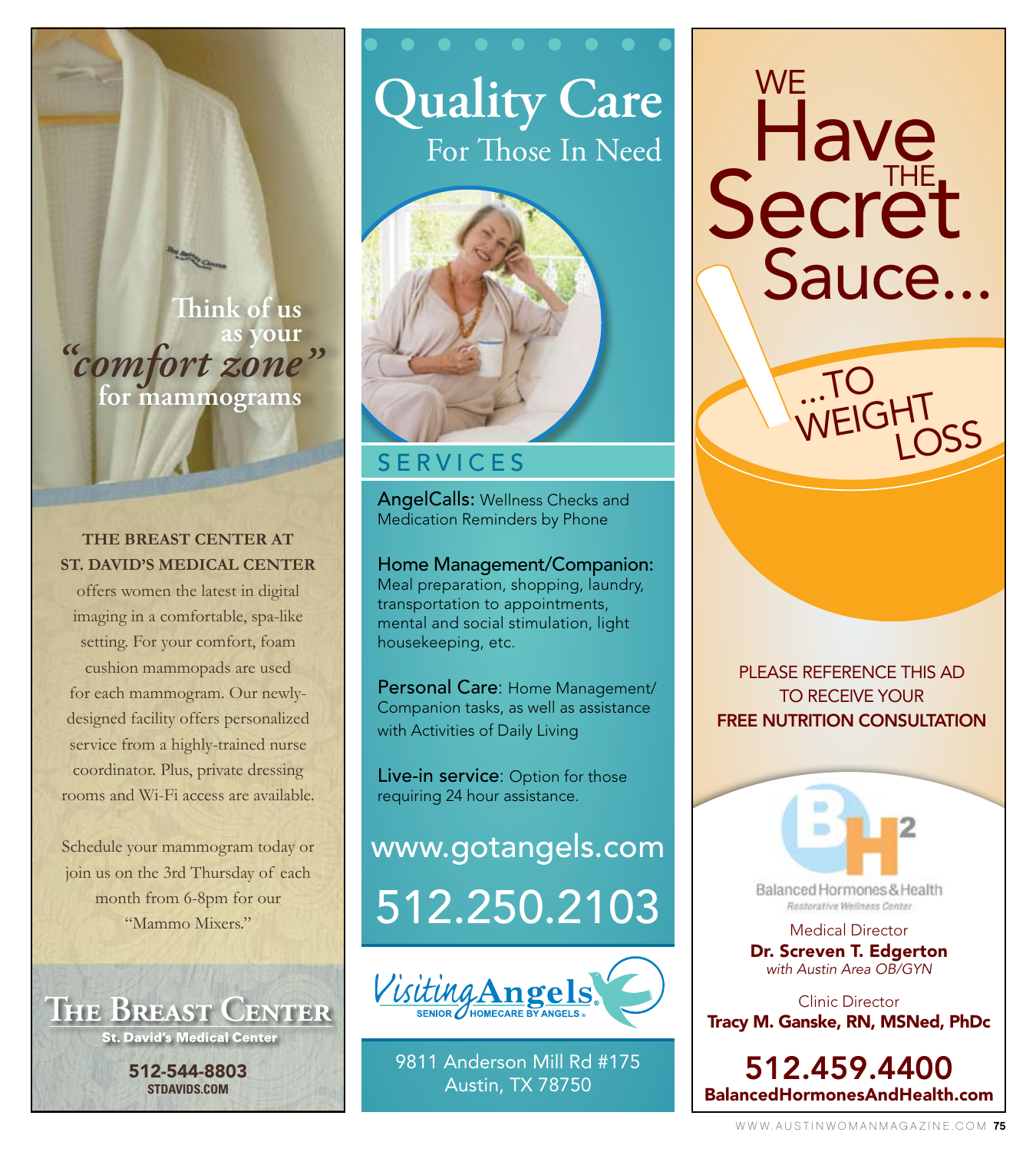**Think of us as your** *"comfort zone* **for mammograms** *"*

#### **THE BREAST CENTER AT ST. DAVID'S MEDICAL CENTER**

offers women the latest in digital imaging in a comfortable, spa-like setting. For your comfort, foam cushion mammopads are used for each mammogram. Our newlydesigned facility offers personalized service from a highly-trained nurse coordinator. Plus, private dressing rooms and Wi-Fi access are available.

Schedule your mammogram today or join us on the 3rd Thursday of each month from 6-8pm for our "Mammo Mixers."



# **Quality Care** For Those In Need



### **SERVICES**

AngelCalls: Wellness Checks and Medication Reminders by Phone

Home Management/Companion: Meal preparation, shopping, laundry, transportation to appointments, mental and social stimulation, light housekeeping, etc.

Personal Care: Home Management/ Companion tasks, as well as assistance with Activities of Daily Living

Live-in service: Option for those requiring 24 hour assistance.

512.250.2103 www.gotangels.com



9811 Anderson Mill Rd #175 Austin, TX 78750

**WE Have** Secret Sauce...

...To

WEIGHT

LoSS

pLEaSE rEfErEncE THiS ad To rEcEivE your **FREE NUTRITION CONSULTATION** 

> Medical Director Dr. Screven T. Edgerton *with Austin Area OB/GYN*

Balanced Hormones & Health Restorative Wellness Center

Clinic Director Tracy M. Ganske, RN, MSNed, PhDc

512.459.4400 BalancedHormonesAndHealth.com

www.austinwomanmagazine.com 75